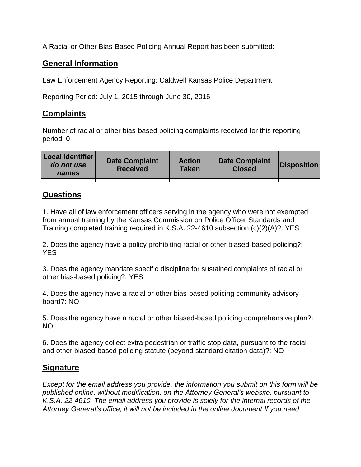A Racial or Other Bias-Based Policing Annual Report has been submitted:

## **General Information**

Law Enforcement Agency Reporting: Caldwell Kansas Police Department

Reporting Period: July 1, 2015 through June 30, 2016

## **Complaints**

Number of racial or other bias-based policing complaints received for this reporting period: 0

| <b>Local Identifier</b><br>do not use<br>names | <b>Date Complaint</b><br><b>Received</b> | <b>Action</b><br><b>Taken</b> | <b>Date Complaint</b><br><b>Closed</b> | Disposition |
|------------------------------------------------|------------------------------------------|-------------------------------|----------------------------------------|-------------|
|                                                |                                          |                               |                                        |             |

## **Questions**

1. Have all of law enforcement officers serving in the agency who were not exempted from annual training by the Kansas Commission on Police Officer Standards and Training completed training required in K.S.A. 22-4610 subsection (c)(2)(A)?: YES

2. Does the agency have a policy prohibiting racial or other biased-based policing?: YES

3. Does the agency mandate specific discipline for sustained complaints of racial or other bias-based policing?: YES

4. Does the agency have a racial or other bias-based policing community advisory board?: NO

5. Does the agency have a racial or other biased-based policing comprehensive plan?: NO

6. Does the agency collect extra pedestrian or traffic stop data, pursuant to the racial and other biased-based policing statute (beyond standard citation data)?: NO

## **Signature**

*Except for the email address you provide, the information you submit on this form will be published online, without modification, on the Attorney General's website, pursuant to K.S.A. 22-4610. The email address you provide is solely for the internal records of the Attorney General's office, it will not be included in the online document.If you need*